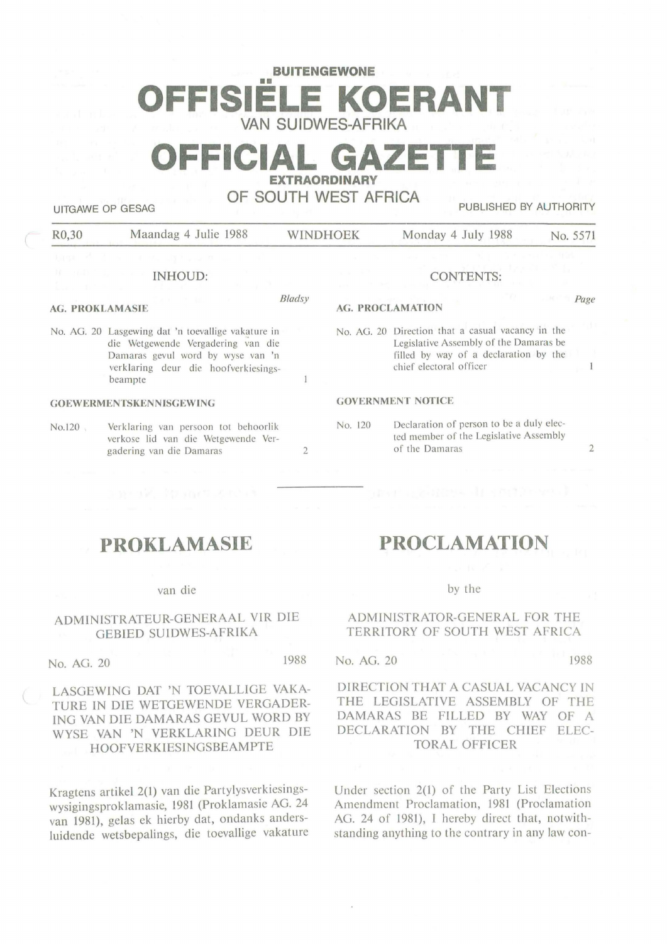# **BUITENGEWONE**  m in **FFISIELE KOERA VAN SUIDWES-AFRIKA**

# **OFFICIAL GAZETTE EXTRAORDINARY**

**OF SOUTH WEST AFRICA** 

AG.

UITGAWE OP GESAG **PUBLISHED BY AUTHORITY** 

| R0,30                                              | Maandag 4 Julie 1988 |                                 | <b>WINDHOEK</b>                                   | Monday 4 July 1988 | No. 5571 |
|----------------------------------------------------|----------------------|---------------------------------|---------------------------------------------------|--------------------|----------|
| INHOUD:                                            |                      |                                 |                                                   | <b>CONTENTS:</b>   |          |
|                                                    |                      |                                 |                                                   |                    |          |
| Bladsy<br><b>AG. PROKLAMASIE</b>                   |                      | Page<br><b>AG. PROCLAMATION</b> |                                                   |                    |          |
| No. AG. 20 Lasgewing dat 'n toevallige vakature in |                      |                                 | No. AG. 20 Direction that a casual vacancy in the |                    |          |

2

 $\mathbf{1}$ 

die Wetgewende Vergadering van die Damaras gevul word by wyse van 'n verklaring deur die hoofverkiesingsbeampte

#### **GOEWERMENTSKENNISGEWING**

No.120 Verklaring van persoon tot behoorlik verkose lid van die Wetgewende Vergadering van die Damaras

Legislative Assembly of the Damaras be filled by way of a declaration by the

ted member of the Legislative Assembly

chief electoral officer

No. 120 Declaration of person to be a duly elec-

of the Damaras

**GOVERNMENT NOTICE** 

# **PROKLAMASIE**

#### van die

## ADMINISTRATEUR-GENERAAL VlR DIE **GEBIED SUIDWES-AFRIKA**

No. AG. 20 1988

## LASGEWING DAT 'N TOEVALLIGE VAKA-TURE IN DIE WETGEWENDE VERGADER-ING VAN DIE DAMARAS GEVUL WORD BY WYSE VAN 'N VERKLARING DEUR DIE HOOFVERKIESINGSBEAMPTE

Kragtens artikel 2(1) van die Partylysverkiesingswysigingsproklamasie, 1981 (Proklamasie AG. 24 van 1981), gelas ek hierby dat, ondanks andersluidende wetsbepalings, die toevallige vakature

# **PROCLAMATION**

#### by the

#### **ADMINISTRATOR-GENERAL FOR THE TERRITORY OF SOUTH WEST AFRICA**

## No. AG. 20 1988

2

 $\mathbf{I}$ 

#### DIRECTION THAT A CASUAL VACANCY IN THE LEGISLATIVE ASSEMBLY OF THE DAMARAS BE FILLED BY WAY OF A DECLARATION BY THE CHIEF ELEC-TORAL OFFICER

Under section 2(1) of the Party List Elections Amendment Proclamation, 1981 (Proclamation AG. 24 of 1981), I hereby direct that, notwithstanding anything to the contrary in any law con